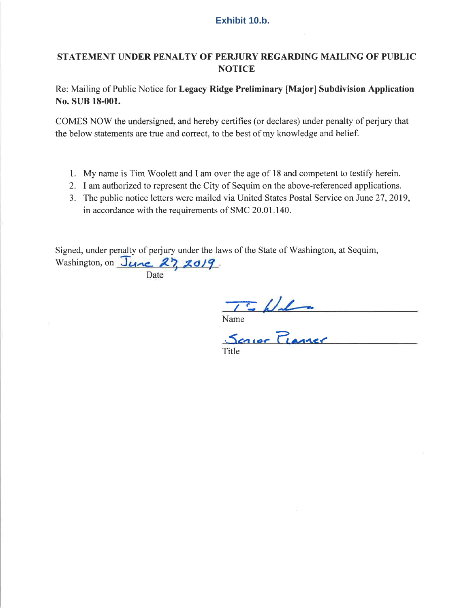### **Exhibit 10.b.**

### STATBMENT UNDER PENALTY OF PERJURY REGARDING MAILING OF PUBLIC **NOTICE**

Re: Mailing of Public Notice for Legacy Ridge Preliminary [Major] Subdivision Application No. SUB 18-001.

COMES NOW the undersigned, and hereby certifies (or declares) under penalty of perjury that the below statements are true and correct, to the best of my knowledge and belief.

- 1. My name is Tim Woolett and I am over the age of 18 and competent to testify herein.
- 2. I am authorized to represent the City of Sequim on the above-referenced applications.
- 3. The public notice letters were mailed via United States Postal Service on June 27,2019, in accordance with the requirements of SMC 20.01.140.

Signed, under penalty of perjury under the laws of the State of Washington, at Sequim, Washington, on  $\overline{J_{\mathcal{L}} \wedge \mathcal{L}}$   $\mathcal{Z}\overline{7}$ ,  $\mathcal{Z}\mathcal{I}/\mathcal{G}$ .

**Date** 

 $T = L/L$ 

Name

Serior Planer Title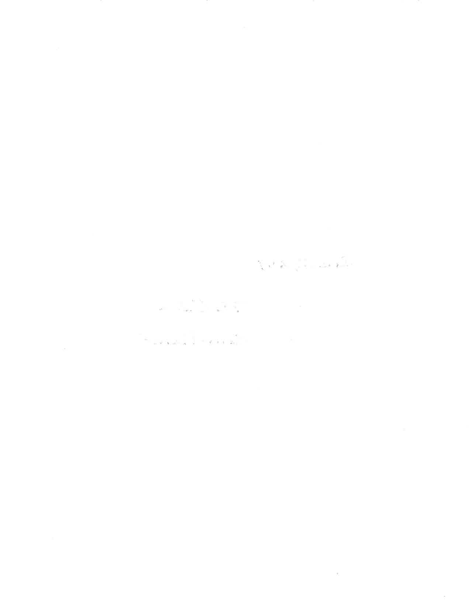$\sum_{\mathbf{X} \in \mathcal{K}} \mathbf{y}^T \cdot \mathbf{y}^T \mathbf{y} = \frac{1}{\sqrt{2}} \mathbf{y}^T \mathbf{y} = \frac{1}{\sqrt{2}} \mathbf{y}^T \mathbf{y}^T \mathbf{y}$ 

 $\label{eq:1.1} \frac{\omega_{\alpha}}{\omega_{\alpha}}\frac{\omega_{\alpha}}{\omega_{\alpha}}\frac{\omega_{\alpha}}{\omega_{\alpha}}\frac{\omega_{\alpha}}{\omega_{\alpha}}\frac{\omega_{\alpha}}{\omega_{\alpha}}\frac{\omega_{\alpha}}{\omega_{\alpha}}\frac{\omega_{\alpha}}{\omega_{\alpha}}\frac{\omega_{\alpha}}{\omega_{\alpha}}\frac{\omega_{\alpha}}{\omega_{\alpha}}\frac{\omega_{\alpha}}{\omega_{\alpha}}\frac{\omega_{\alpha}}{\omega_{\alpha}}\frac{\omega_{\alpha}}{\omega_{\alpha}}\frac{\omega_{\alpha}}{\omega_{\alpha}}\frac{\omega_{\alpha}}{\omega_{\alpha}}\frac{\omega_{\alpha}}{\omega_{\alpha}}\$ 

 $\mathcal{L}^{\text{max}}_{\text{max}}$ 

 $\sigma$  .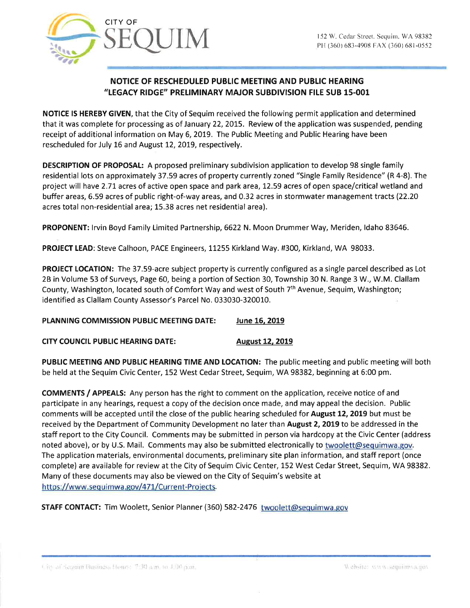

### NOTICE OF RESCHEDULED PUBLIC MEETING AND PUBLIC HEARING "LEGACY RIDGE" PRELIMINARY MAJOR SUBDIVISION FILE SUB 15-001

NOTICE IS HEREBY GIVEN, that the City of Sequim received the following permit application and determined that it was complete for processing as of January 22,2075. Review of the application was suspended, pending receipt of additional information on May 6,2019. The Public Meeting and Public Hearing have been rescheduled for July 16 and August 12, 2019, respectively.

DESCRIPTION OF PROPOSAL: A proposed preliminary subdivision application to develop 98 single family residential lots on approximately 37.59 acres of property currently zoned "Single Family Residence" (R 4-8). The project will have 2.7I acres of active open space and park area, 12.59 acres of open space/critical wetland and buffer areas, 6.59 acres of public right-of-way areas, and 0.32 acres in stormwater management tracts (22.20 acres total non-residential area; L5.38 acres net residential area).

PROPONENT: lrvin Boyd Family Limited Partnership, 6622 N. Moon Drummer Way, Meriden, ldaho 83646.

PROJECT LEAD: Steve Calhoon, PACE Engineers, 11255 Kirkland Way. #300, Kírkland, WA 98033.

PROJECT LOCATION: The 37.59-acre subject property is currently configured as a single parcel described as Lot 28 in Volume 53 of Surveys, Page 60, being a portion of Section 30, Township 30 N. Range 3 W., W.M. Clallam County, Washington, located south of Comfort Way and west of South 7th Avenue, Sequim, Washington; identified as Clallam County Assessor's Parcel No. 033030-320010.

PLANNING COMMISSION PUBLIC MEETING DATE: June 16, 2019

CITY COUNCIL PUBLIC HEARING DATE: August 12, 2019

PUBLIC MEETING AND PUBLIC HEARING TIME AND LOCATION: The public meeting and public meeting will both be held at the Sequim Civic Center, 152 West Cedar Street, Sequim, WA 98382, beginning at 6:00 pm.

COMMENTS / APPEALS: Any person has the right to comment on the application, receive notice of and participate in any hearings, request a copy of the decision once made, and may appeal the decision. Public comments will be accepted until the close of the public hearing scheduled for August 12, 2019 but must be received by the Department of Community Development no later than August 2, 2019 to be addressed in the staff report to the City Council. Comments may be submitted in person via hardcopy at the Civic Center (address noted above), or by U.S. Mail. Comments may also be submitted electronically to twoolett@sequimwa.gov. The application materials, environmental documents, preliminary site plan information, and staff report (once complete) are available for review at the City of Sequim Civic Center, 152 West Cedar Street, Sequim, WA 98382. Many of these documents may also be viewed on the City of Sequim's website at https://www.sequimwa.gov/471/Current-Projects.

STAFF CONTACT: Tim Woolett, Senior Planner (360) 582-2476 twoolett@sequimwa.gov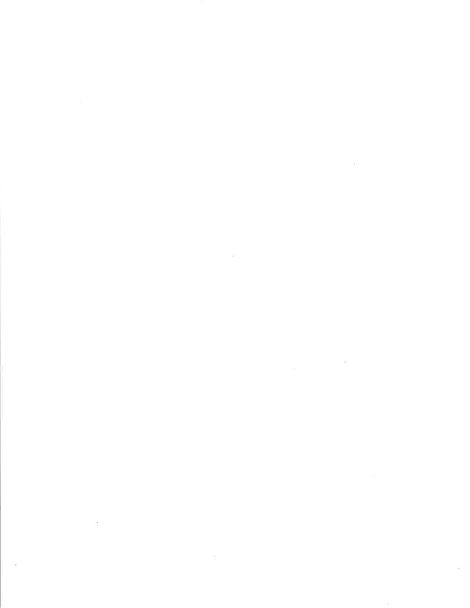$\label{eq:4} \begin{array}{ll} \mathbf{E} & \mathbf{E} \\ \mathbf{E} & \mathbf{E} \\ \mathbf{E} & \mathbf{E} \end{array}$  $\label{eq:2.1} \mathcal{L}(\mathcal{L}) = \mathcal{L}(\mathcal{L}) = \mathcal{L}(\mathcal{L}^{\text{max}}) = \mathcal{L}(\mathcal{L}^{\text{max}})$  $\label{eq:2.1} g = \frac{1}{2} \int_0^1 \frac{1}{\sqrt{2}} \, \mathrm{d} x \, \mathrm{d} y \, \mathrm{d} y$ 

 $\sim$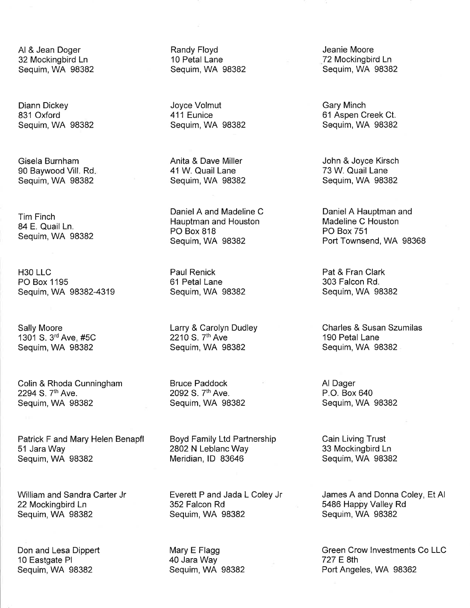Al & Jean Doger 32 Mockingbird Ln Sequim, WA 98382

Diann Dickey 831 Oxford Sequim, WA 98382

Gisela Burnham 90 Baywood Vill. Rd Sequim, WA 98382

Tim Finch 84 E. Quail Ln. Sequim, WA 98382

H3O LLC PO Box I 195 Sequim, WA 98382-4319

Sally Moore 1301 S. 3'd Ave, #5C Sequim, WA 98382

Colin & Rhoda Cunningham 2294 S. 7<sup>th</sup> Ave. Sequim, WA 98382

Patrick F and Mary Helen Benapfl 51 Jara Way Sequim, WA 98382

William and Sandra Carter Jr 22 Mockingbird Ln Sequim, WA 98382

Don and Lesa Dippert 10 Eastgate Pl Sequim, WA 98382

Randy Floyd 10 Petal Lane Sequim, WA 98382

Joyce Volmut 411 Eunice Sequim, WA 98382

Anita & Dave Miller 41W. Quail Lane Sequim, WA 98382

Daniel A and Madeline C Hauptman and Houston PO Box 818 Sequim, WA 98382

Paul Renick 61 Petal Lane Sequim, WA 98382

Larry & Carolyn Dudley 2210 S. 7<sup>th</sup> Ave Sequim, WA 98382

Bruce Paddock 2092 S. 7<sup>th</sup> Ave. Sequim, WA 98382

Boyd Family Ltd Partnership 2802 N Leblanc Way Meridian, lD 83646

Everett P and Jada L Coley Jr 352 Falcon Rd Sequim, WA 98382

Mary E Flagg 40 Jara Way Sequim, WA 98382

Jeanie Moore 72 Mockingbird Ln Sequim, WA 98382

Gary Minch 61 Aspen Creek Ct. Sequim, WA 98382

John & Joyce Kirsch 73 W. Quail Lane Sequim, WA 98382

Daniel A Hauptman and Madeline C Houston PO Box 751 Port Townsend, WA 98368

Pat & Fran Clark 303 Falcon Rd. Sequim, WA 98382

Charles & Susan Szumilas 190 Petal Lane Sequim, WA 98382

Al Dager P.O. Box 640 Sequim, WA 98382

Cain Living Trust 33 Mockingbird Ln Sequim, WA 98382

James A and Donna Coley, Et Al 5486 Happy Valley Rd Sequim, WA 98382

Green Crow lnvestments Co LLC 727 E 3th Port Angeles, WA 98362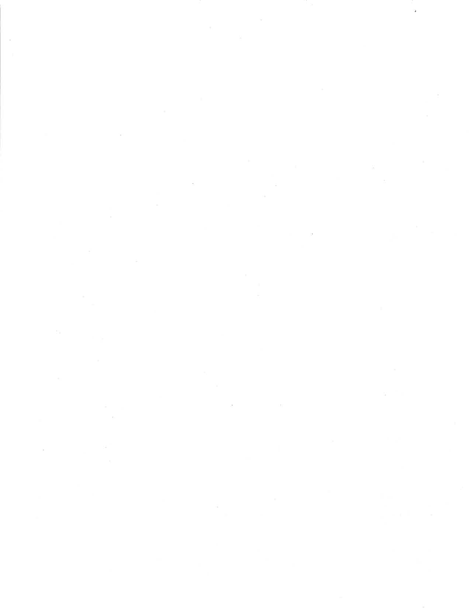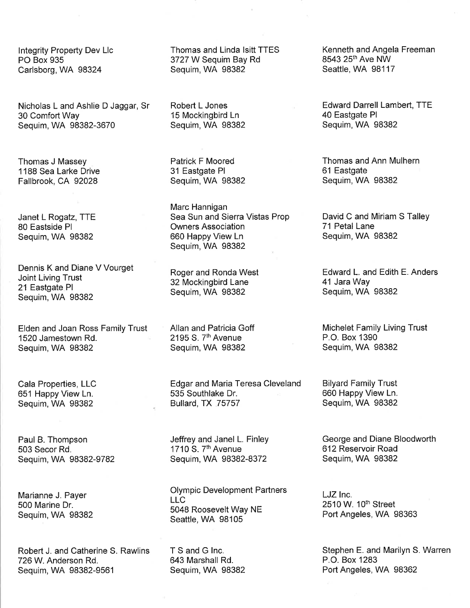lntegrity Property Dev Llc PO Box 935 Carlsborg, WA 98324

Nicholas L and Ashlie D Jaggar, Sr 30 Comfort Way Sequim, WA 98382-3670

Thomas J Massey <sup>1</sup>188 Sea Larke Drive Fallbrook, CA 92028

Janet L Rogatz, TTE 80 Eastside Pl Sequim, WA 98382

Dennis K and Diane V Vourget Joint Living Trust 21 Eastgate Pl Sequim, WA 98382

Elden and Joan Ross Family Trust 1520 Jamestown Rd. Sequim, WA 98382

Cala Properties, LLC 651 Happy View Ln. Sequim, WA 98382

Paul B. Thompson 503 Secor Rd. Sequim, WA 98382-9782

Marianne J. Payer 500 Marine Dr. Sequim, WA 98382

Robert J. and Catherine S. Rawlins 726W. Anderson Rd. Sequim, WA 98382-9561

Thomas and Linda lsitt TTES 3727 W Sequim Bay Rd Sequim, WA 98382

Robert L Jones 15 Mockingbird Ln Sequim, WA 98382

Patrick F Moored 31 Eastgate Pl Sequim, WA 98382

Marc Hannigan Sea Sun and Sierra Vistas Prop Owners Association 660 Happy View Ln Sequim, WA 98382

Roger and Ronda West 32 Mockingbird Lane Sequim, WA 98382

Allan and Patricia Goff  $2195$  S.  $7<sup>th</sup>$  Avenue Sequim, WA 98382

Edgar and Maria Teresa Cleveland 535 Southlake Dr. Bullard, TX 75757

Jeffrey and Janel L. Finley 1710 S.  $7<sup>th</sup>$  Avenue Sequim, WA 98382-8372

Olympic Development Partners LLC 5048 Roosevelt Way NE Seattle, WA 98105

T S and G Inc. 643 Marshall Rd. Sequim, WA 98382 Kenneth and Angela Freeman 8543 25th Ave NW Seattle, WA 98117

Edward Darrell Lambert, TTE 40 Eastgate Pl Sequim, WA 98382

Thomas and Ann Mulhern 61 Eastgate Sequim, WA 98382

David C and Miriam S Talley 71 Petal Lane Sequim, WA 98382

Edward L. and Edith E. Anders 41 Jara Way Sequim, WA 98382

Michelet Family Living Trust P.O. Box 1390 Sequim, WA 98382

Bilyard Family Trust 660 Happy View Ln. Sequim, WA 98382

George and Diane Bloodworth 612 Reservoir Road Sequim, WA 98382

LJZ Inc. 2510 W. 10<sup>th</sup> Street Port Angeles, WA 98363

Stephen E. and Marilyn S. Warren P.O. Box 1283 Port Angeles, WA 98362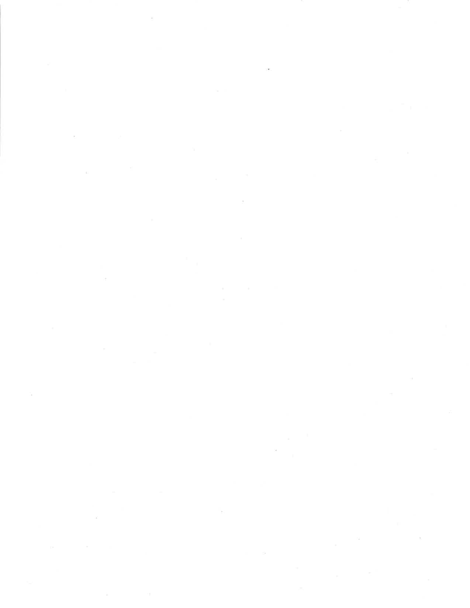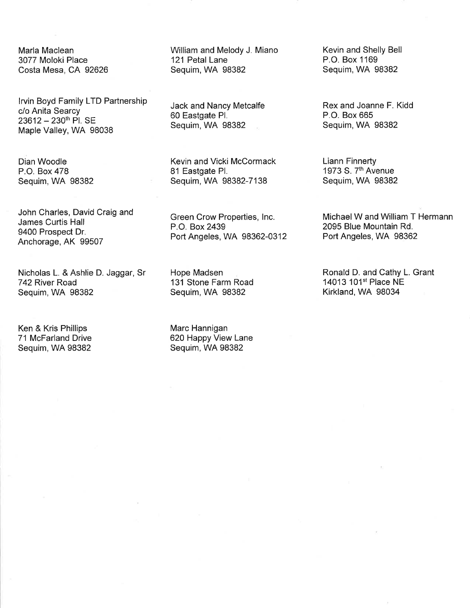Marla Maclean 3077 Moloki Place Costa Mesa, CA 92626

lrvin Boyd Family LTD Partnership c/o Anita Searcy  $23612 - 230$ <sup>th</sup> Pl. SE Maple Valley, WA 98038

Dian Woodle P.O. Box 478 Sequim, WA 98382

John Charles, David Craig and James Curtis Hall 9400 Prospect Dr. Anchorage, AK 99507

Nicholas L. & Ashlie D. Jaggar, Sr 742 River Road Sequim, WA 98382

Ken & Kris Phillips 71 McFarland Drive Sequim, WA 98382

William and Melody J. Miano 121 Petal Lane Sequim, WA 98382

Jack and Nancy Metcalfe 60 Eastgate Pl. Sequim, WA 98382

Kevin and Vicki McCormack 81 Eastgate Pl. Sequim, WA 98382-7138

Green Crow Properties, lnc. P.O. Box 2439 Port Angeles, WA 98362-0312

Hope Madsen 131 Stone Farm Road Sequim, WA 98382

Marc Hannigan 620 Happy View Lane Sequim, WA 98382

Kevin and Shelly Bell P.O. Box 1169 Sequim, WA 98382

Rex and Joanne F. Kidd P.O. Box 665 Sequim, WA 98382

Liann Finnerty 1973 S.  $7<sup>th</sup>$  Avenue Sequim, WA 98382

Michael W and William T Hermann 2095 Blue Mountain Rd. Port Angeles, WA 98362

Ronald D. and Cathy L. Grant 14013 101<sup>st</sup> Place NE Kirkland, WA 98034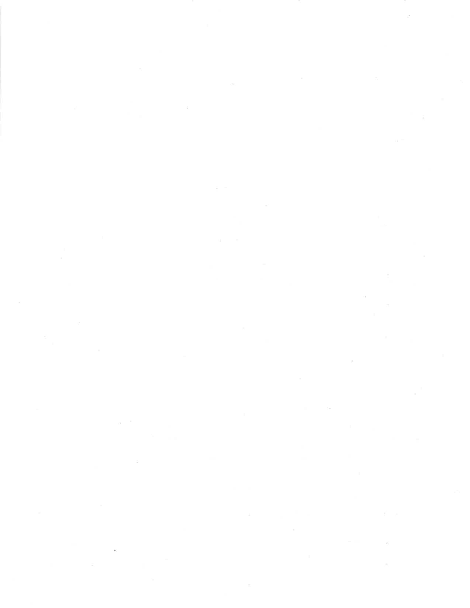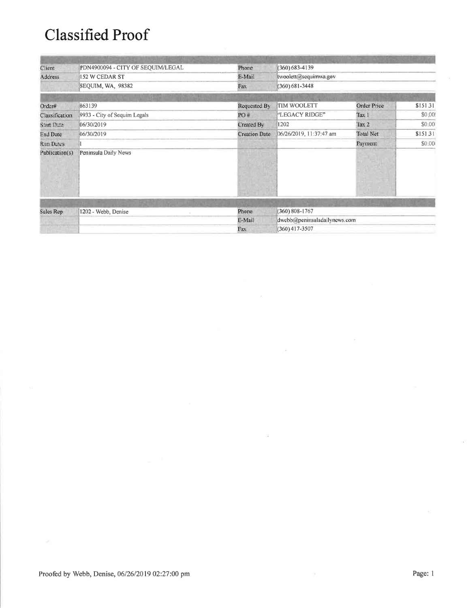# **Classified Proof**

| Client            | PDN4900094 - CITY OF SEQUIM/LEGAL | Phone                | $(360) 683 - 4139$           |                  |          |
|-------------------|-----------------------------------|----------------------|------------------------------|------------------|----------|
| Address           | 152 W CEDAR ST                    | E-Mail               | twoolett@sequimwa.gov        |                  |          |
|                   | SEQUIM, WA, 98382                 | Fax                  | $(360) 681 - 3448$           |                  |          |
|                   |                                   |                      |                              |                  |          |
| Order#            | 863139                            | Requested By         | TIM WOOLETT                  | Order Price      | \$151.31 |
| Classification    | 9933 - City of Sequim Legals      | PO #                 | "LEGACY RIDGE"               | Tax 1            | \$0,00   |
| <b>Start Date</b> | 06/30/2019                        | Created By           | 1202                         | Tax 2            | \$0.00   |
| <b>End Date</b>   | 06/30/2019                        | <b>Creation Date</b> | 06/26/2019, 11:37:47 am      | <b>Total Net</b> | \$151.31 |
| Run Dates         |                                   |                      |                              | Payment          | \$0.00   |
| Publication(s)    | Peninsula Daily News              |                      |                              |                  |          |
|                   |                                   |                      |                              |                  |          |
| Sales Rep         | 1202 - Webb, Denise               | Phone                | $(360) 808 - 1767$           |                  |          |
|                   |                                   | E-Mail               | dwebb@peninsuladailynews.com |                  |          |
|                   |                                   | Fax                  | $(360)$ 417-3507             |                  |          |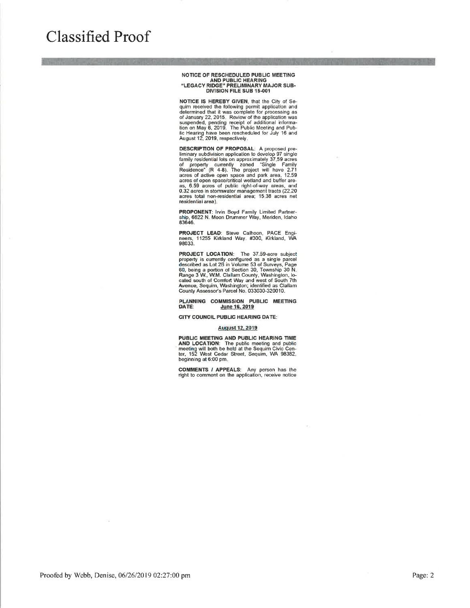## **Classified Proof**

### NOTICE OF RESCHEDULED PUBLIC MEETING<br>AND PUBLIC HEARING<br>"LEGACY RIDGE" PRELIMINARY MAJOR SUB-**DIVISION FILE SUB 15-001**

NOTICE IS HEREBY GIVEN, that the City of Se-NOTICE IS HEREBY GIVEN, that the City of Se-<br>quim received the following permit application and<br>determined that it was complete for processing as<br>of January 22, 2015. Review of the application was<br>suspended, pending receip

**DESCRIPTION OF PROPOSAL:** A proposed pre-<br>liminary subdivision application to develop 97 single<br>family residential lots on approximately 37.59 acres<br>of property currently zoned "Single Family Residence" (R 4-8). The proj acres total non-residential area; 15.38 acres net<br>residential area).

**PROPONENT:** Irvin Boyd Family Limited Partner-<br>ship, 6622 N. Moon Drummer Way, Meriden, Idaho<br>83646.

**PROJECT LEAD:** Steve Calhoon, PACE Engineers, 11255 Kirkland Way. #300, Kirkland, WA<br>98033.

PROJECT LOCATION: The 37.59-acre subject **PROJECT LOCATION:** The 37.59-acre subject property is currently configured as a single parcel described as Lot 2B in Volume 53 of Surveys, Page 60, being a portion of Section 30, Township 30 N. Range 3 W., W.M. Clallam Co

#### PLANNING COMMISSION PUBLIC MEETING DATE: <u>June 16, 2019</u>

#### **CITY COUNCIL PUBLIC HEARING DATE:**

#### **August 12, 2019**

**PUBLIC MEETING AND PUBLIC HEARING TIME AND LOCATION:** The public meeting and public meeting will both be held at the Sequim Civic Center, 152 West Cedar Street, Sequim, WA 98382, beginning at 6:00 pm.

**COMMENTS / APPEALS:** Any person has the right to comment on the application, receive notice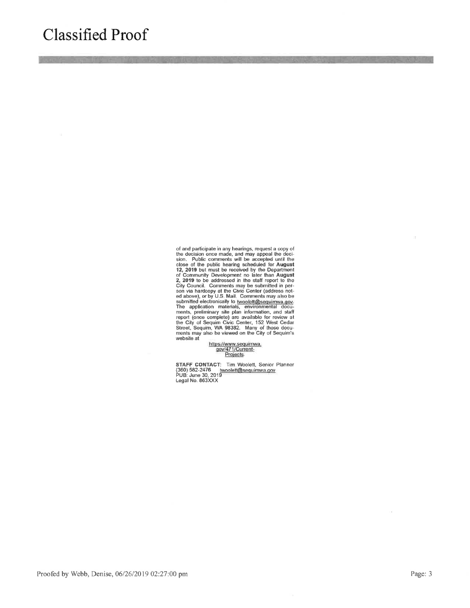## Classified Proof

of and participate in any hearings, request a copy of<br>the decision once made, and may appeal the decision<br>sion. Public comments will be accepted until the<br>close of the public hearing scheduled for **August**<br>12, 2019 to the

https://www.sequirmwa.<br>gov/471/Current-<br>Projects.

**STAFF CONTACT:** Tim Woolett, Senior Planner<br>(360) 582-2476 <u>woolett@sequimwa.gov</u><br>PUB: June 30, 2019<br>Legal No. 863XXX